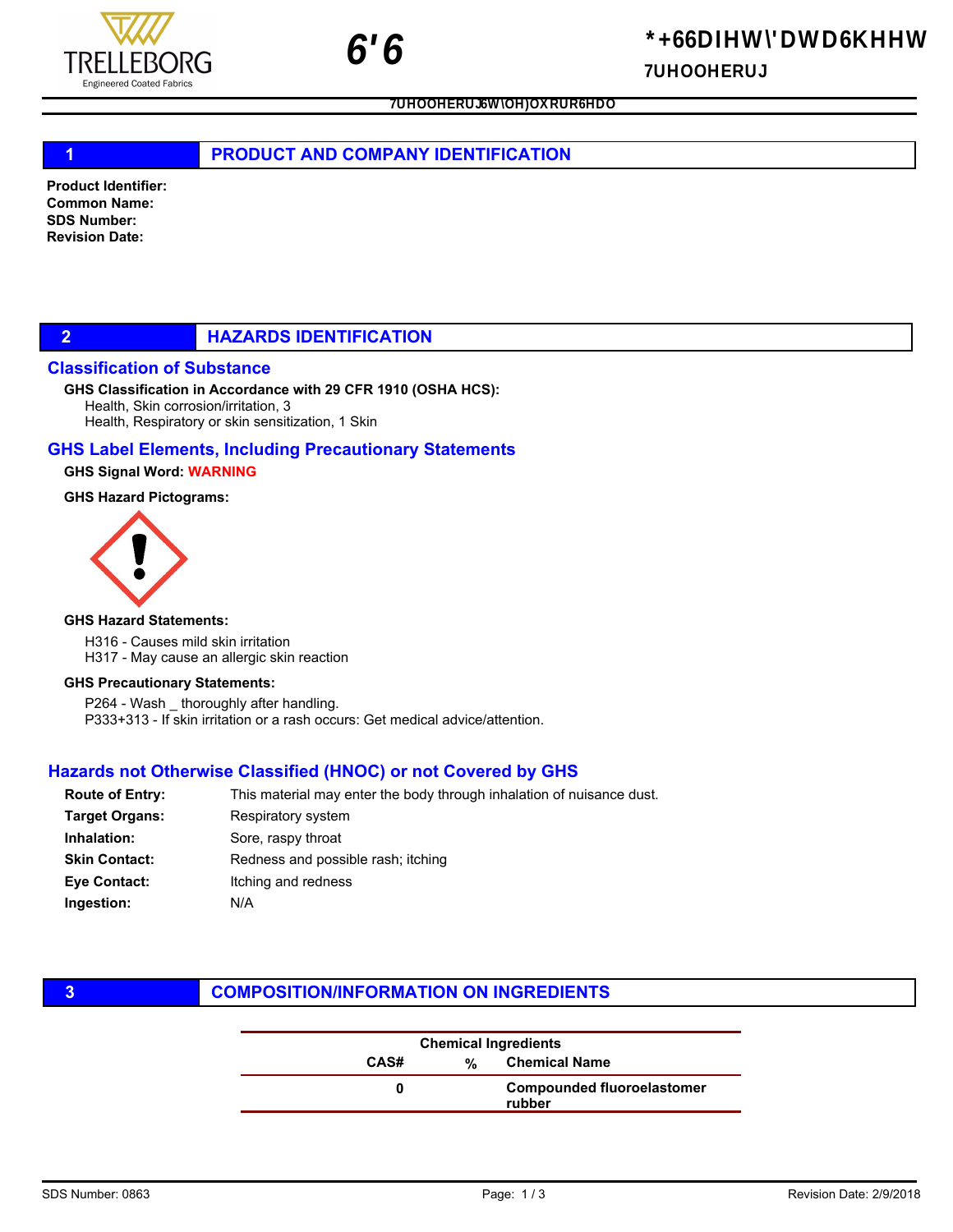

# 1 **PRODUCT AND COMPANY IDENTIFICATION**

Product Identifier: Common Name: SDS Number: Revision Date:

# **2 HAZARDS IDENTIFICATION**

## Classification of Substance

## GHS Classification in Accordance with 29 CFR 1910 (OSHA HCS):

Health, Skin corrosion/irritation, 3 Health, Respiratory or skin sensitization, 1 Skin

## GHS Label Elements, Including Precautionary Statements

#### GHS Signal Word: WARNING

### GHS Hazard Pictograms:



#### GHS Hazard Statements:

H316 - Causes mild skin irritation H317 - May cause an allergic skin reaction

#### GHS Precautionary Statements:

P264 - Wash thoroughly after handling. P333+313 - If skin irritation or a rash occurs: Get medical advice/attention.

## Hazards not Otherwise Classified (HNOC) or not Covered by GHS

| <b>Route of Entry:</b> | This material may enter the body through inhalation of nuisance dust. |  |  |
|------------------------|-----------------------------------------------------------------------|--|--|
| Target Organs:         | Respiratory system                                                    |  |  |
| Inhalation:            | Sore, raspy throat                                                    |  |  |
| <b>Skin Contact:</b>   | Redness and possible rash; itching                                    |  |  |
| Eye Contact:           | Itching and redness                                                   |  |  |
| Ingestion:             | N/A                                                                   |  |  |
|                        |                                                                       |  |  |

# **3 COMPOSITION/INFORMATION ON INGREDIENTS**

| <b>Chemical Ingredients</b> |   |                                             |
|-----------------------------|---|---------------------------------------------|
| CAS#                        | % | <b>Chemical Name</b>                        |
|                             |   | <b>Compounded fluoroelastomer</b><br>rubber |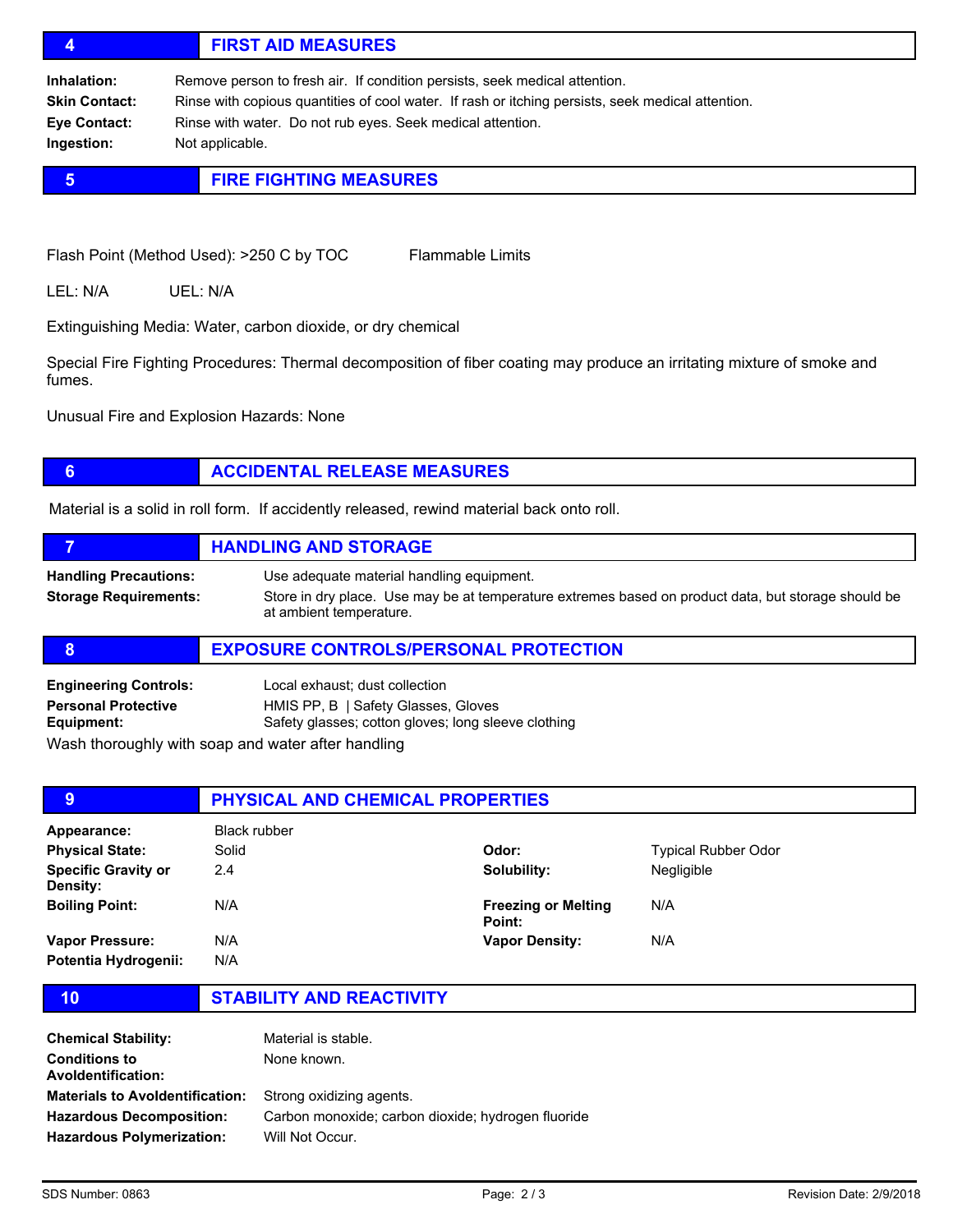# 4 FIRST AID MEASURES

Inhalation: Remove person to fresh air. If condition persists, seek medical attention. Skin Contact: Rinse with copious quantities of cool water. If rash or itching persists, seek medical attention. Eye Contact: Rinse with water. Do not rub eyes. Seek medical attention. Ingestion: Not applicable.

# **5 FIRE FIGHTING MEASURES**

Flash Point (Method Used): >250 C by TOC Flammable Limits

LEL: N/A UEL: N/A

Extinguishing Media: Water, carbon dioxide, or dry chemical

Special Fire Fighting Procedures: Thermal decomposition of fiber coating may produce an irritating mixture of smoke and fumes.

Unusual Fire and Explosion Hazards: None

# **6 ACCIDENTAL RELEASE MEASURES**

Material is a solid in roll form. If accidently released, rewind material back onto roll.

|                                                              | <b>HANDLING AND STORAGE</b>                                                                                                                                                 |
|--------------------------------------------------------------|-----------------------------------------------------------------------------------------------------------------------------------------------------------------------------|
| <b>Handling Precautions:</b><br><b>Storage Requirements:</b> | Use adequate material handling equipment.<br>Store in dry place. Use may be at temperature extremes based on product data, but storage should be<br>at ambient temperature. |

## 8 **EXPOSURE CONTROLS/PERSONAL PROTECTION**

| <b>Engineering Controls:</b>                                                                                   | Local exhaust; dust collection                      |
|----------------------------------------------------------------------------------------------------------------|-----------------------------------------------------|
| <b>Personal Protective</b>                                                                                     | HMIS PP, B   Safety Glasses, Gloves                 |
| Equipment:                                                                                                     | Safety glasses; cotton gloves; long sleeve clothing |
| 1874 - El alban estadunio de la constitución estadunidades de la constitución de la constitución de la constit |                                                     |

Wash thoroughly with soap and water after handling

| 9                                             | <b>PHYSICAL AND CHEMICAL PROPERTIES</b> |                                      |                            |  |
|-----------------------------------------------|-----------------------------------------|--------------------------------------|----------------------------|--|
| Appearance:                                   | Black rubber                            |                                      |                            |  |
| <b>Physical State:</b>                        | Solid                                   | Odor:                                | <b>Typical Rubber Odor</b> |  |
| <b>Specific Gravity or</b><br><b>Density:</b> | 2.4                                     | Solubility:                          | Negligible                 |  |
| <b>Boiling Point:</b>                         | N/A                                     | <b>Freezing or Melting</b><br>Point: | N/A                        |  |
| Vapor Pressure:                               | N/A                                     | <b>Vapor Density:</b>                | N/A                        |  |
| Potentia Hydrogenii:                          | N/A                                     |                                      |                            |  |

10 STABILITY AND REACTIVITY

| <b>Chemical Stability:</b><br><b>Conditions to</b><br><b>Avoldentification:</b> | Material is stable.<br>None known.                                             |
|---------------------------------------------------------------------------------|--------------------------------------------------------------------------------|
| <b>Materials to Avoldentification:</b><br><b>Hazardous Decomposition:</b>       | Strong oxidizing agents.<br>Carbon monoxide; carbon dioxide; hydrogen fluoride |
| <b>Hazardous Polymerization:</b>                                                | Will Not Occur.                                                                |